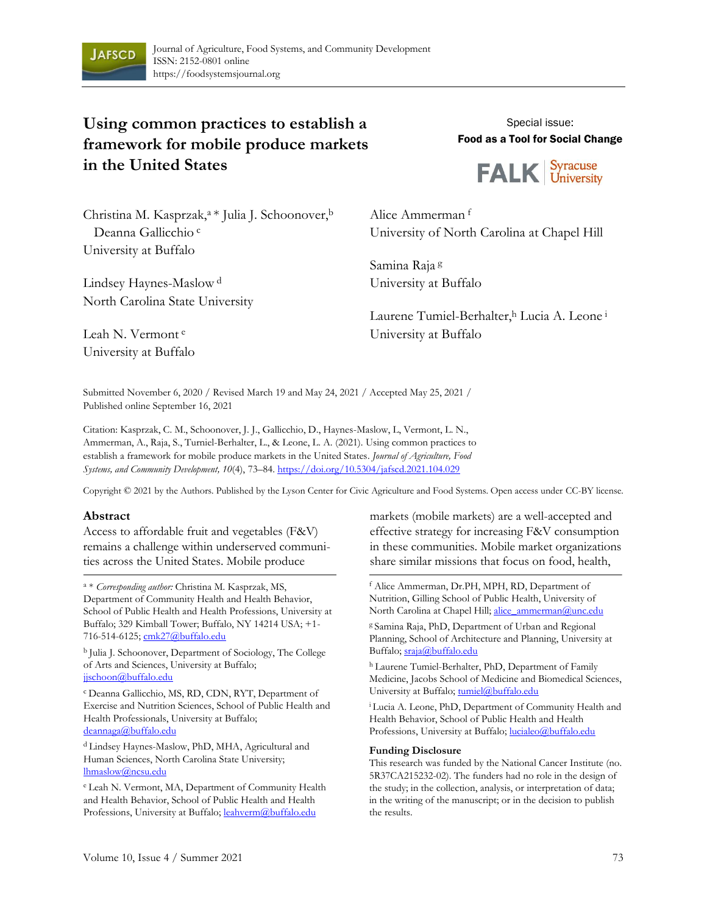

# **Using common practices to establish a framework for mobile produce markets in the United States**

Special issue: Food as a Tool for Social Change



Christina M. Kasprzak,<sup>a \*</sup> Julia J. Schoonover,<sup>b</sup> Deanna Gallicchio<sup>c</sup> University at Buffalo

Lindsey Haynes-Maslow <sup>d</sup> North Carolina State University Alice Ammerman <sup>f</sup> University of North Carolina at Chapel Hill

Samina Raja <sup>g</sup> University at Buffalo

Laurene Tumiel-Berhalter, Lucia A. Leone i University at Buffalo

Leah N. Vermont <sup>e</sup> University at Buffalo

Submitted November 6, 2020 / Revised March 19 and May 24, 2021 / Accepted May 25, 2021 / Published online September 16, 2021

Citation: Kasprzak, C. M., Schoonover, J. J., Gallicchio, D., Haynes-Maslow, L, Vermont, L. N., Ammerman, A., Raja, S., Turniel-Berhalter, L., & Leone, L. A. (2021). Using common practices to establish a framework for mobile produce markets in the United States. *Journal of Agriculture, Food Systems, and Community Development, 10*(4), 73–84. h[ttps://doi.org/10.5304/jafscd.2021.104.029](https://doi.org/10.5304/jafscd.2021.104.00)

Copyright © 2021 by the Authors. Published by the Lyson Center for Civic Agriculture and Food Systems. Open access under CC-BY license.

#### **Abstract**

Access to affordable fruit and vegetables (F&V) remains a challenge within underserved communities across the United States. Mobile produce

<sup>a</sup> \* *Corresponding author:* Christina M. Kasprzak, MS, Department of Community Health and Health Behavior, School of Public Health and Health Professions, University at Buffalo; 329 Kimball Tower; Buffalo, NY 14214 USA; +1- 716-514-6125; [cmk27@buffalo.edu](mailto:cmk27@buffalo.edu)

<sup>b</sup> Julia J. Schoonover, Department of Sociology, The College of Arts and Sciences, University at Buffalo; jischoon@buffalo.edu

<sup>c</sup>Deanna Gallicchio, MS, RD, CDN, RYT, Department of Exercise and Nutrition Sciences, School of Public Health and Health Professionals, University at Buffalo; [deannaga@buffalo.edu](mailto:deannaga@buffalo.edu)

<sup>d</sup> Lindsey Haynes-Maslow, PhD, MHA, Agricultural and Human Sciences, North Carolina State University; [lhmaslow@ncsu.edu](mailto:lhmaslow@ncsu.edu)

<sup>e</sup>Leah N. Vermont, MA, Department of Community Health and Health Behavior, School of Public Health and Health Professions, University at Buffalo[; leahverm@buffalo.edu](mailto:leahverm@buffalo.edu)

markets (mobile markets) are a well-accepted and effective strategy for increasing F&V consumption in these communities. Mobile market organizations share similar missions that focus on food, health,

<sup>f</sup> Alice Ammerman, Dr.PH, MPH, RD, Department of Nutrition, Gilling School of Public Health, University of North Carolina at Chapel Hill[; alice\\_ammerman@unc.edu](mailto:alice_ammerman@unc.edu)

g Samina Raja, PhD, Department of Urban and Regional Planning, School of Architecture and Planning, University at Buffalo; [sraja@buffalo.edu](mailto:sraja@buffalo.edu)

h Laurene Tumiel-Berhalter, PhD, Department of Family Medicine, Jacobs School of Medicine and Biomedical Sciences, University at Buffalo[; tumiel@buffalo.edu](mailto:tumiel@buffalo.edu)

<sup>i</sup>Lucia A. Leone, PhD, Department of Community Health and Health Behavior, School of Public Health and Health Professions, University at Buffalo[; lucialeo@buffalo.edu](mailto:lucialeo@buffalo.edu)

#### **Funding Disclosure**

This research was funded by the National Cancer Institute (no. 5R37CA215232-02). The funders had no role in the design of the study; in the collection, analysis, or interpretation of data; in the writing of the manuscript; or in the decision to publish the results.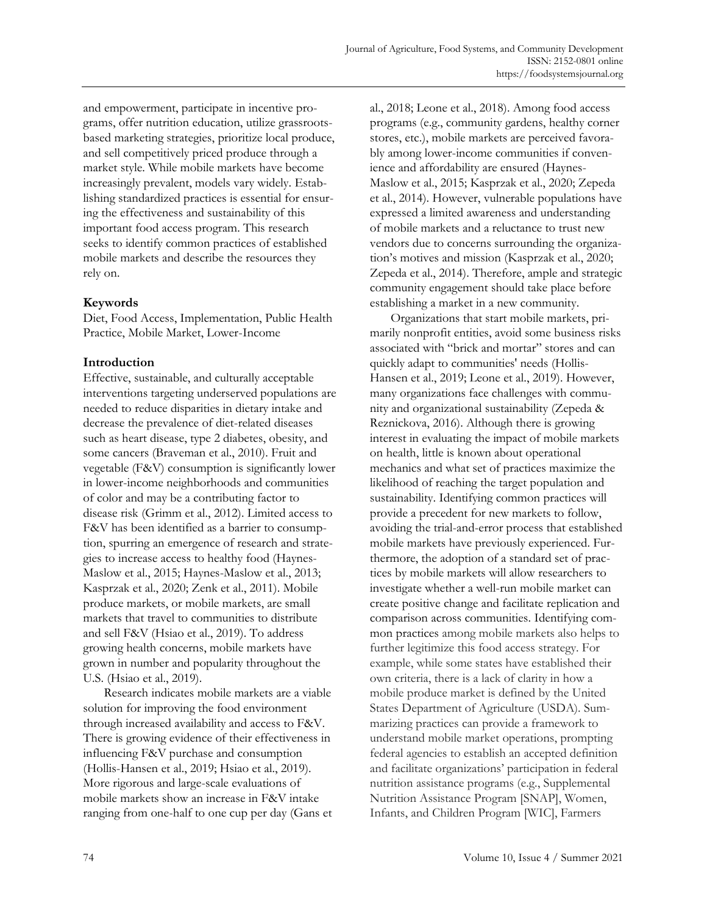and empowerment, participate in incentive programs, offer nutrition education, utilize grassrootsbased marketing strategies, prioritize local produce, and sell competitively priced produce through a market style. While mobile markets have become increasingly prevalent, models vary widely. Establishing standardized practices is essential for ensuring the effectiveness and sustainability of this important food access program. This research seeks to identify common practices of established mobile markets and describe the resources they rely on.

### **Keywords**

Diet, Food Access, Implementation, Public Health Practice, Mobile Market, Lower-Income

### **Introduction**

Effective, sustainable, and culturally acceptable interventions targeting underserved populations are needed to reduce disparities in dietary intake and decrease the prevalence of diet-related diseases such as heart disease, type 2 diabetes, obesity, and some cancers (Braveman et al., 2010). Fruit and vegetable (F&V) consumption is significantly lower in lower-income neighborhoods and communities of color and may be a contributing factor to disease risk (Grimm et al., 2012). Limited access to F&V has been identified as a barrier to consumption, spurring an emergence of research and strategies to increase access to healthy food (Haynes-Maslow et al., 2015; Haynes-Maslow et al., 2013; Kasprzak et al., 2020; Zenk et al., 2011). Mobile produce markets, or mobile markets, are small markets that travel to communities to distribute and sell F&V (Hsiao et al., 2019). To address growing health concerns, mobile markets have grown in number and popularity throughout the U.S. (Hsiao et al., 2019).

Research indicates mobile markets are a viable solution for improving the food environment through increased availability and access to F&V. There is growing evidence of their effectiveness in influencing F&V purchase and consumption (Hollis-Hansen et al., 2019; Hsiao et al., 2019). More rigorous and large-scale evaluations of mobile markets show an increase in F&V intake ranging from one-half to one cup per day (Gans et al., 2018; Leone et al., 2018). Among food access programs (e.g., community gardens, healthy corner stores, etc.), mobile markets are perceived favorably among lower-income communities if convenience and affordability are ensured (Haynes-Maslow et al., 2015; Kasprzak et al., 2020; Zepeda et al., 2014). However, vulnerable populations have expressed a limited awareness and understanding of mobile markets and a reluctance to trust new vendors due to concerns surrounding the organization's motives and mission (Kasprzak et al., 2020; Zepeda et al., 2014). Therefore, ample and strategic community engagement should take place before establishing a market in a new community.

Organizations that start mobile markets, primarily nonprofit entities, avoid some business risks associated with "brick and mortar" stores and can quickly adapt to communities' needs (Hollis-Hansen et al., 2019; Leone et al., 2019). However, many organizations face challenges with community and organizational sustainability (Zepeda & Reznickova, 2016). Although there is growing interest in evaluating the impact of mobile markets on health, little is known about operational mechanics and what set of practices maximize the likelihood of reaching the target population and sustainability. Identifying common practices will provide a precedent for new markets to follow, avoiding the trial-and-error process that established mobile markets have previously experienced. Furthermore, the adoption of a standard set of practices by mobile markets will allow researchers to investigate whether a well-run mobile market can create positive change and facilitate replication and comparison across communities. Identifying common practices among mobile markets also helps to further legitimize this food access strategy. For example, while some states have established their own criteria, there is a lack of clarity in how a mobile produce market is defined by the United States Department of Agriculture (USDA). Summarizing practices can provide a framework to understand mobile market operations, prompting federal agencies to establish an accepted definition and facilitate organizations' participation in federal nutrition assistance programs (e.g., Supplemental Nutrition Assistance Program [SNAP], Women, Infants, and Children Program [WIC], Farmers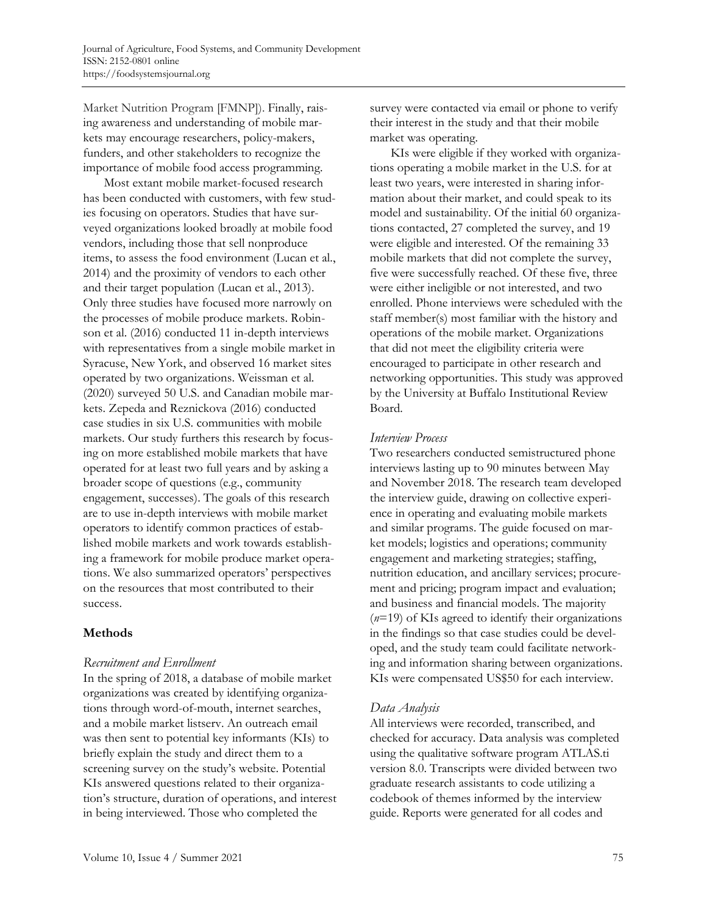Market Nutrition Program [FMNP]). Finally, raising awareness and understanding of mobile markets may encourage researchers, policy-makers, funders, and other stakeholders to recognize the importance of mobile food access programming.

Most extant mobile market-focused research has been conducted with customers, with few studies focusing on operators. Studies that have surveyed organizations looked broadly at mobile food vendors, including those that sell nonproduce items, to assess the food environment (Lucan et al., 2014) and the proximity of vendors to each other and their target population (Lucan et al., 2013). Only three studies have focused more narrowly on the processes of mobile produce markets. Robinson et al. (2016) conducted 11 in-depth interviews with representatives from a single mobile market in Syracuse, New York, and observed 16 market sites operated by two organizations. Weissman et al. (2020) surveyed 50 U.S. and Canadian mobile markets. Zepeda and Reznickova (2016) conducted case studies in six U.S. communities with mobile markets. Our study furthers this research by focusing on more established mobile markets that have operated for at least two full years and by asking a broader scope of questions (e.g., community engagement, successes). The goals of this research are to use in-depth interviews with mobile market operators to identify common practices of established mobile markets and work towards establishing a framework for mobile produce market operations. We also summarized operators' perspectives on the resources that most contributed to their success.

### **Methods**

#### *Recruitment and Enrollment*

In the spring of 2018, a database of mobile market organizations was created by identifying organizations through word-of-mouth, internet searches, and a mobile market listserv. An outreach email was then sent to potential key informants (KIs) to briefly explain the study and direct them to a screening survey on the study's website. Potential KIs answered questions related to their organization's structure, duration of operations, and interest in being interviewed. Those who completed the

survey were contacted via email or phone to verify their interest in the study and that their mobile market was operating.

KIs were eligible if they worked with organizations operating a mobile market in the U.S. for at least two years, were interested in sharing information about their market, and could speak to its model and sustainability. Of the initial 60 organizations contacted, 27 completed the survey, and 19 were eligible and interested. Of the remaining 33 mobile markets that did not complete the survey, five were successfully reached. Of these five, three were either ineligible or not interested, and two enrolled. Phone interviews were scheduled with the staff member(s) most familiar with the history and operations of the mobile market. Organizations that did not meet the eligibility criteria were encouraged to participate in other research and networking opportunities. This study was approved by the University at Buffalo Institutional Review Board.

### *Interview Process*

Two researchers conducted semistructured phone interviews lasting up to 90 minutes between May and November 2018. The research team developed the interview guide, drawing on collective experience in operating and evaluating mobile markets and similar programs. The guide focused on market models; logistics and operations; community engagement and marketing strategies; staffing, nutrition education, and ancillary services; procurement and pricing; program impact and evaluation; and business and financial models. The majority (*n*=19) of KIs agreed to identify their organizations in the findings so that case studies could be developed, and the study team could facilitate networking and information sharing between organizations. KIs were compensated US\$50 for each interview.

### *Data Analysis*

All interviews were recorded, transcribed, and checked for accuracy. Data analysis was completed using the qualitative software program ATLAS.ti version 8.0. Transcripts were divided between two graduate research assistants to code utilizing a codebook of themes informed by the interview guide. Reports were generated for all codes and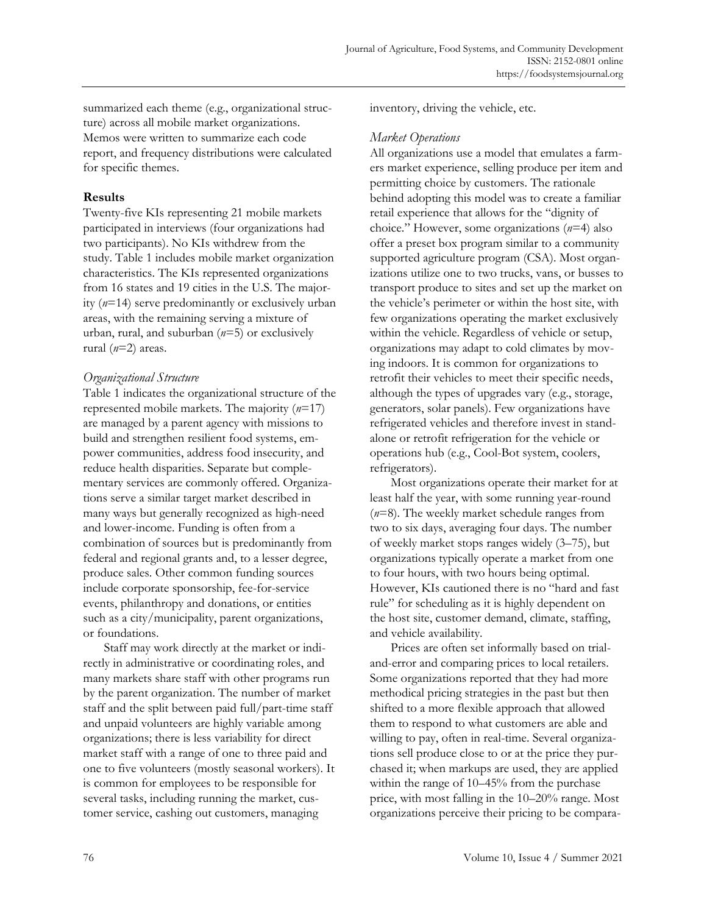summarized each theme (e.g., organizational structure) across all mobile market organizations. Memos were written to summarize each code report, and frequency distributions were calculated for specific themes.

### **Results**

Twenty-five KIs representing 21 mobile markets participated in interviews (four organizations had two participants). No KIs withdrew from the study. Table 1 includes mobile market organization characteristics. The KIs represented organizations from 16 states and 19 cities in the U.S. The majority (*n*=14) serve predominantly or exclusively urban areas, with the remaining serving a mixture of urban, rural, and suburban (*n*=5) or exclusively rural (*n*=2) areas.

### *Organizational Structure*

Table 1 indicates the organizational structure of the represented mobile markets. The majority (*n*=17) are managed by a parent agency with missions to build and strengthen resilient food systems, empower communities, address food insecurity, and reduce health disparities. Separate but complementary services are commonly offered. Organizations serve a similar target market described in many ways but generally recognized as high-need and lower-income. Funding is often from a combination of sources but is predominantly from federal and regional grants and, to a lesser degree, produce sales. Other common funding sources include corporate sponsorship, fee-for-service events, philanthropy and donations, or entities such as a city/municipality, parent organizations, or foundations.

Staff may work directly at the market or indirectly in administrative or coordinating roles, and many markets share staff with other programs run by the parent organization. The number of market staff and the split between paid full/part-time staff and unpaid volunteers are highly variable among organizations; there is less variability for direct market staff with a range of one to three paid and one to five volunteers (mostly seasonal workers). It is common for employees to be responsible for several tasks, including running the market, customer service, cashing out customers, managing

inventory, driving the vehicle, etc.

### *Market Operations*

All organizations use a model that emulates a farmers market experience, selling produce per item and permitting choice by customers. The rationale behind adopting this model was to create a familiar retail experience that allows for the "dignity of choice." However, some organizations (*n*=4) also offer a preset box program similar to a community supported agriculture program (CSA). Most organizations utilize one to two trucks, vans, or busses to transport produce to sites and set up the market on the vehicle's perimeter or within the host site, with few organizations operating the market exclusively within the vehicle. Regardless of vehicle or setup, organizations may adapt to cold climates by moving indoors. It is common for organizations to retrofit their vehicles to meet their specific needs, although the types of upgrades vary (e.g., storage, generators, solar panels). Few organizations have refrigerated vehicles and therefore invest in standalone or retrofit refrigeration for the vehicle or operations hub (e.g., Cool-Bot system, coolers, refrigerators).

Most organizations operate their market for at least half the year, with some running year-round (*n*=8). The weekly market schedule ranges from two to six days, averaging four days. The number of weekly market stops ranges widely (3–75), but organizations typically operate a market from one to four hours, with two hours being optimal. However, KIs cautioned there is no "hard and fast rule" for scheduling as it is highly dependent on the host site, customer demand, climate, staffing, and vehicle availability.

Prices are often set informally based on trialand-error and comparing prices to local retailers. Some organizations reported that they had more methodical pricing strategies in the past but then shifted to a more flexible approach that allowed them to respond to what customers are able and willing to pay, often in real-time. Several organizations sell produce close to or at the price they purchased it; when markups are used, they are applied within the range of 10–45% from the purchase price, with most falling in the 10–20% range. Most organizations perceive their pricing to be compara-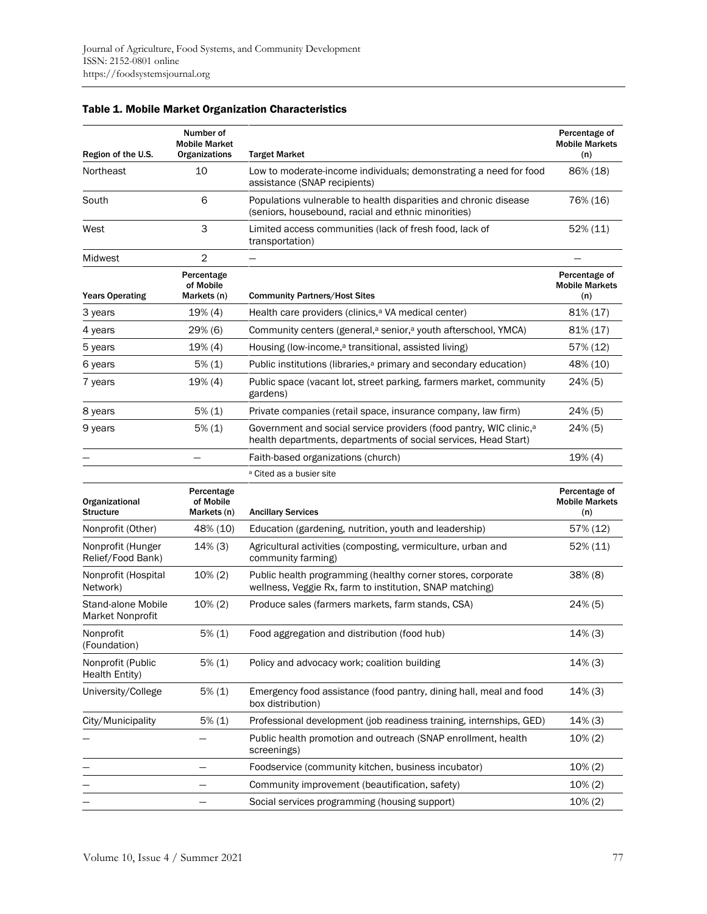| Region of the U.S.                     | Number of<br><b>Mobile Market</b><br>Organizations | <b>Target Market</b>                                                                                                                              | Percentage of<br><b>Mobile Markets</b><br>(n) |
|----------------------------------------|----------------------------------------------------|---------------------------------------------------------------------------------------------------------------------------------------------------|-----------------------------------------------|
| Northeast                              | 10                                                 | Low to moderate-income individuals; demonstrating a need for food<br>assistance (SNAP recipients)                                                 | 86% (18)                                      |
| South                                  | 6                                                  | Populations vulnerable to health disparities and chronic disease<br>(seniors, housebound, racial and ethnic minorities)                           | 76% (16)                                      |
| West                                   | 3                                                  | Limited access communities (lack of fresh food, lack of<br>transportation)                                                                        | 52% (11)                                      |
| Midwest                                | 2                                                  |                                                                                                                                                   |                                               |
| <b>Years Operating</b>                 | Percentage<br>of Mobile<br>Markets (n)             | <b>Community Partners/Host Sites</b>                                                                                                              | Percentage of<br><b>Mobile Markets</b><br>(n) |
| 3 years                                | 19% (4)                                            | Health care providers (clinics, <sup>a</sup> VA medical center)                                                                                   | 81% (17)                                      |
| 4 years                                | 29% (6)                                            | Community centers (general, <sup>a</sup> senior, <sup>a</sup> youth afterschool, YMCA)                                                            | 81% (17)                                      |
| 5 years                                | 19% (4)                                            | Housing (low-income, <sup>a</sup> transitional, assisted living)                                                                                  | 57% (12)                                      |
| 6 years                                | $5\%$ (1)                                          | Public institutions (libraries, <sup>a</sup> primary and secondary education)                                                                     | 48% (10)                                      |
| 7 years                                | 19% (4)                                            | Public space (vacant lot, street parking, farmers market, community<br>gardens)                                                                   | 24% (5)                                       |
| 8 years                                | $5\%$ (1)                                          | Private companies (retail space, insurance company, law firm)                                                                                     | 24% (5)                                       |
| 9 years                                | $5\%$ (1)                                          | Government and social service providers (food pantry, WIC clinic, <sup>a</sup><br>health departments, departments of social services, Head Start) | 24% (5)                                       |
|                                        |                                                    | Faith-based organizations (church)                                                                                                                | 19% (4)                                       |
|                                        |                                                    | <sup>a</sup> Cited as a busier site                                                                                                               |                                               |
| Organizational<br><b>Structure</b>     | Percentage<br>of Mobile<br>Markets (n)             | <b>Ancillary Services</b>                                                                                                                         | Percentage of<br><b>Mobile Markets</b><br>(n) |
| Nonprofit (Other)                      | 48% (10)                                           | Education (gardening, nutrition, youth and leadership)                                                                                            | 57% (12)                                      |
| Nonprofit (Hunger<br>Relief/Food Bank) | $14\%$ (3)                                         | Agricultural activities (composting, vermiculture, urban and<br>community farming)                                                                | 52% (11)                                      |
| Nonprofit (Hospital<br>Network)        | $10\% (2)$                                         | Public health programming (healthy corner stores, corporate<br>wellness, Veggie Rx, farm to institution, SNAP matching)                           | 38% (8)                                       |
| Stand-alone Mobile<br>Market Nonprofit | $10\% (2)$                                         | Produce sales (farmers markets, farm stands, CSA)                                                                                                 | 24% (5)                                       |
| Nonprofit<br>(Foundation)              | 5% (1)                                             | Food aggregation and distribution (food hub)                                                                                                      | $14\%$ (3)                                    |
| Nonprofit (Public<br>Health Entity)    | 5% (1)                                             | Policy and advocacy work; coalition building                                                                                                      | $14\%$ (3)                                    |
| University/College                     | $5\%$ (1)                                          | Emergency food assistance (food pantry, dining hall, meal and food<br>box distribution)                                                           | $14\%$ (3)                                    |
| City/Municipality                      | 5% (1)                                             | Professional development (job readiness training, internships, GED)                                                                               | $14\%$ (3)                                    |
|                                        |                                                    | Public health promotion and outreach (SNAP enrollment, health<br>screenings)                                                                      | $10\%(2)$                                     |
|                                        |                                                    | Foodservice (community kitchen, business incubator)                                                                                               | $10\% (2)$                                    |
|                                        |                                                    | Community improvement (beautification, safety)                                                                                                    | 10% (2)                                       |
|                                        |                                                    | Social services programming (housing support)                                                                                                     | 10% (2)                                       |

## Table 1. Mobile Market Organization Characteristics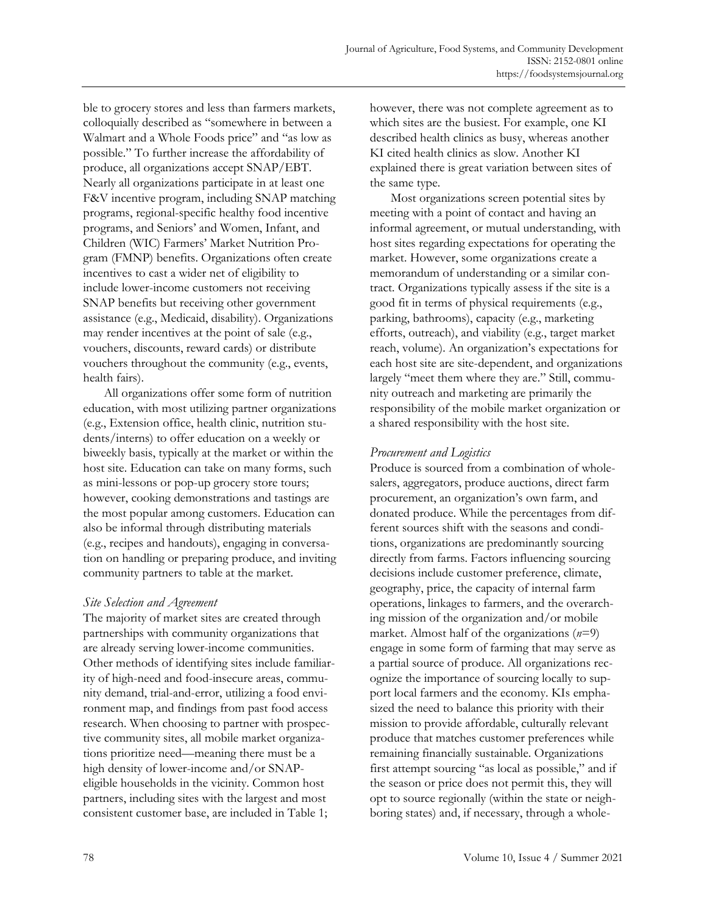ble to grocery stores and less than farmers markets, colloquially described as "somewhere in between a Walmart and a Whole Foods price" and "as low as possible." To further increase the affordability of produce, all organizations accept SNAP/EBT. Nearly all organizations participate in at least one F&V incentive program, including SNAP matching programs, regional-specific healthy food incentive programs, and Seniors' and Women, Infant, and Children (WIC) Farmers' Market Nutrition Program (FMNP) benefits. Organizations often create incentives to cast a wider net of eligibility to include lower-income customers not receiving SNAP benefits but receiving other government assistance (e.g., Medicaid, disability). Organizations may render incentives at the point of sale (e.g., vouchers, discounts, reward cards) or distribute vouchers throughout the community (e.g., events, health fairs).

All organizations offer some form of nutrition education, with most utilizing partner organizations (e.g., Extension office, health clinic, nutrition students/interns) to offer education on a weekly or biweekly basis, typically at the market or within the host site. Education can take on many forms, such as mini-lessons or pop-up grocery store tours; however, cooking demonstrations and tastings are the most popular among customers. Education can also be informal through distributing materials (e.g., recipes and handouts), engaging in conversation on handling or preparing produce, and inviting community partners to table at the market.

### *Site Selection and Agreement*

The majority of market sites are created through partnerships with community organizations that are already serving lower-income communities. Other methods of identifying sites include familiarity of high-need and food-insecure areas, community demand, trial-and-error, utilizing a food environment map, and findings from past food access research. When choosing to partner with prospective community sites, all mobile market organizations prioritize need—meaning there must be a high density of lower-income and/or SNAPeligible households in the vicinity. Common host partners, including sites with the largest and most consistent customer base, are included in Table 1;

however, there was not complete agreement as to which sites are the busiest. For example, one KI described health clinics as busy, whereas another KI cited health clinics as slow. Another KI explained there is great variation between sites of the same type.

Most organizations screen potential sites by meeting with a point of contact and having an informal agreement, or mutual understanding, with host sites regarding expectations for operating the market. However, some organizations create a memorandum of understanding or a similar contract. Organizations typically assess if the site is a good fit in terms of physical requirements (e.g., parking, bathrooms), capacity (e.g., marketing efforts, outreach), and viability (e.g., target market reach, volume). An organization's expectations for each host site are site-dependent, and organizations largely "meet them where they are." Still, community outreach and marketing are primarily the responsibility of the mobile market organization or a shared responsibility with the host site.

## *Procurement and Logistics*

Produce is sourced from a combination of wholesalers, aggregators, produce auctions, direct farm procurement, an organization's own farm, and donated produce. While the percentages from different sources shift with the seasons and conditions, organizations are predominantly sourcing directly from farms. Factors influencing sourcing decisions include customer preference, climate, geography, price, the capacity of internal farm operations, linkages to farmers, and the overarching mission of the organization and/or mobile market. Almost half of the organizations (*n*=9) engage in some form of farming that may serve as a partial source of produce. All organizations recognize the importance of sourcing locally to support local farmers and the economy. KIs emphasized the need to balance this priority with their mission to provide affordable, culturally relevant produce that matches customer preferences while remaining financially sustainable. Organizations first attempt sourcing "as local as possible," and if the season or price does not permit this, they will opt to source regionally (within the state or neighboring states) and, if necessary, through a whole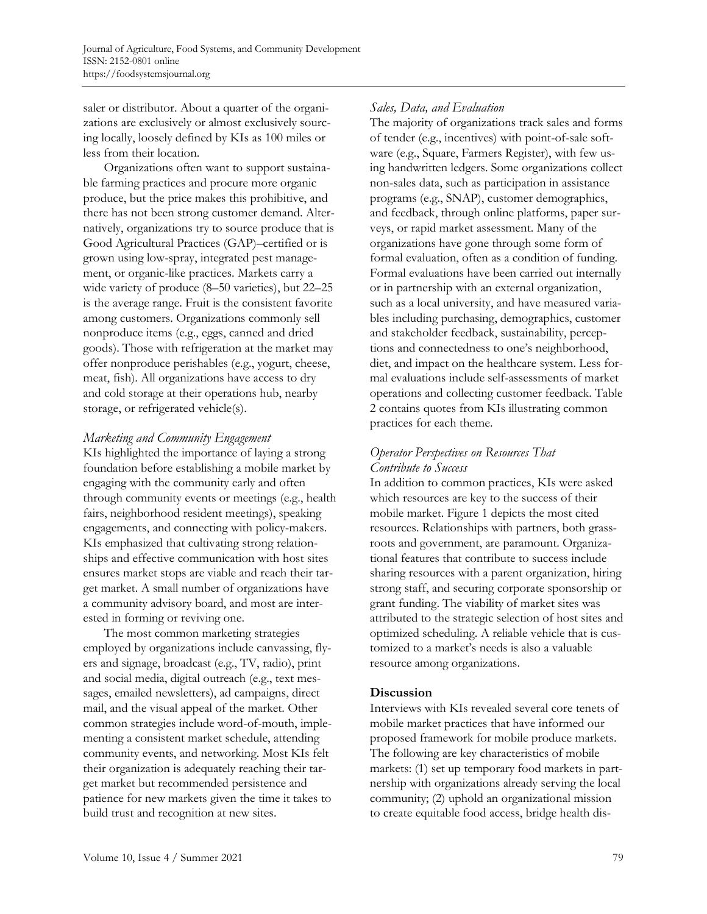saler or distributor. About a quarter of the organizations are exclusively or almost exclusively sourcing locally, loosely defined by KIs as 100 miles or less from their location.

Organizations often want to support sustainable farming practices and procure more organic produce, but the price makes this prohibitive, and there has not been strong customer demand. Alternatively, organizations try to source produce that is Good Agricultural Practices (GAP)–certified or is grown using low-spray, integrated pest management, or organic-like practices. Markets carry a wide variety of produce (8–50 varieties), but 22–25 is the average range. Fruit is the consistent favorite among customers. Organizations commonly sell nonproduce items (e.g., eggs, canned and dried goods). Those with refrigeration at the market may offer nonproduce perishables (e.g., yogurt, cheese, meat, fish). All organizations have access to dry and cold storage at their operations hub, nearby storage, or refrigerated vehicle(s).

### *Marketing and Community Engagement*

KIs highlighted the importance of laying a strong foundation before establishing a mobile market by engaging with the community early and often through community events or meetings (e.g., health fairs, neighborhood resident meetings), speaking engagements, and connecting with policy-makers. KIs emphasized that cultivating strong relationships and effective communication with host sites ensures market stops are viable and reach their target market. A small number of organizations have a community advisory board, and most are interested in forming or reviving one.

The most common marketing strategies employed by organizations include canvassing, flyers and signage, broadcast (e.g., TV, radio), print and social media, digital outreach (e.g., text messages, emailed newsletters), ad campaigns, direct mail, and the visual appeal of the market. Other common strategies include word-of-mouth, implementing a consistent market schedule, attending community events, and networking. Most KIs felt their organization is adequately reaching their target market but recommended persistence and patience for new markets given the time it takes to build trust and recognition at new sites.

### *Sales, Data, and Evaluation*

The majority of organizations track sales and forms of tender (e.g., incentives) with point-of-sale software (e.g., Square, Farmers Register), with few using handwritten ledgers. Some organizations collect non-sales data, such as participation in assistance programs (e.g., SNAP), customer demographics, and feedback, through online platforms, paper surveys, or rapid market assessment. Many of the organizations have gone through some form of formal evaluation, often as a condition of funding. Formal evaluations have been carried out internally or in partnership with an external organization, such as a local university, and have measured variables including purchasing, demographics, customer and stakeholder feedback, sustainability, perceptions and connectedness to one's neighborhood, diet, and impact on the healthcare system. Less formal evaluations include self-assessments of market operations and collecting customer feedback. Table 2 contains quotes from KIs illustrating common practices for each theme.

### *Operator Perspectives on Resources That Contribute to Success*

In addition to common practices, KIs were asked which resources are key to the success of their mobile market. Figure 1 depicts the most cited resources. Relationships with partners, both grassroots and government, are paramount. Organizational features that contribute to success include sharing resources with a parent organization, hiring strong staff, and securing corporate sponsorship or grant funding. The viability of market sites was attributed to the strategic selection of host sites and optimized scheduling. A reliable vehicle that is customized to a market's needs is also a valuable resource among organizations.

### **Discussion**

Interviews with KIs revealed several core tenets of mobile market practices that have informed our proposed framework for mobile produce markets. The following are key characteristics of mobile markets: (1) set up temporary food markets in partnership with organizations already serving the local community; (2) uphold an organizational mission to create equitable food access, bridge health dis-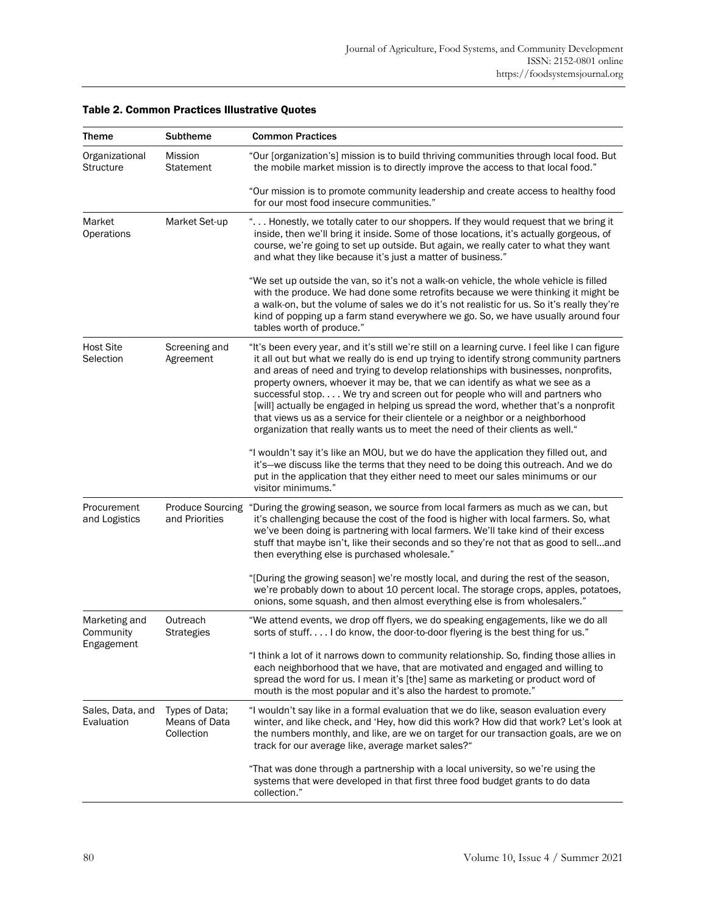| Theme                                    | <b>Subtheme</b>                               | <b>Common Practices</b>                                                                                                                                                                                                                                                                                                                                                                                                                                                                                                                                                                                                                                                                                   |
|------------------------------------------|-----------------------------------------------|-----------------------------------------------------------------------------------------------------------------------------------------------------------------------------------------------------------------------------------------------------------------------------------------------------------------------------------------------------------------------------------------------------------------------------------------------------------------------------------------------------------------------------------------------------------------------------------------------------------------------------------------------------------------------------------------------------------|
| Organizational<br><b>Structure</b>       | Mission<br><b>Statement</b>                   | "Our [organization's] mission is to build thriving communities through local food. But<br>the mobile market mission is to directly improve the access to that local food."                                                                                                                                                                                                                                                                                                                                                                                                                                                                                                                                |
|                                          |                                               | "Our mission is to promote community leadership and create access to healthy food<br>for our most food insecure communities."                                                                                                                                                                                                                                                                                                                                                                                                                                                                                                                                                                             |
| Market<br>Operations                     | Market Set-up                                 | " Honestly, we totally cater to our shoppers. If they would request that we bring it<br>inside, then we'll bring it inside. Some of those locations, it's actually gorgeous, of<br>course, we're going to set up outside. But again, we really cater to what they want<br>and what they like because it's just a matter of business."                                                                                                                                                                                                                                                                                                                                                                     |
|                                          |                                               | "We set up outside the van, so it's not a walk-on vehicle, the whole vehicle is filled<br>with the produce. We had done some retrofits because we were thinking it might be<br>a walk-on, but the volume of sales we do it's not realistic for us. So it's really they're<br>kind of popping up a farm stand everywhere we go. So, we have usually around four<br>tables worth of produce."                                                                                                                                                                                                                                                                                                               |
| <b>Host Site</b><br>Selection            | Screening and<br>Agreement                    | "It's been every year, and it's still we're still on a learning curve. I feel like I can figure<br>it all out but what we really do is end up trying to identify strong community partners<br>and areas of need and trying to develop relationships with businesses, nonprofits,<br>property owners, whoever it may be, that we can identify as what we see as a<br>successful stop We try and screen out for people who will and partners who<br>[will] actually be engaged in helping us spread the word, whether that's a nonprofit<br>that views us as a service for their clientele or a neighbor or a neighborhood<br>organization that really wants us to meet the need of their clients as well." |
|                                          |                                               | "I wouldn't say it's like an MOU, but we do have the application they filled out, and<br>it's-we discuss like the terms that they need to be doing this outreach. And we do<br>put in the application that they either need to meet our sales minimums or our<br>visitor minimums."                                                                                                                                                                                                                                                                                                                                                                                                                       |
| Procurement<br>and Logistics             | <b>Produce Sourcing</b><br>and Priorities     | "During the growing season, we source from local farmers as much as we can, but<br>it's challenging because the cost of the food is higher with local farmers. So, what<br>we've been doing is partnering with local farmers. We'll take kind of their excess<br>stuff that maybe isn't, like their seconds and so they're not that as good to selland<br>then everything else is purchased wholesale."                                                                                                                                                                                                                                                                                                   |
|                                          |                                               | "[During the growing season] we're mostly local, and during the rest of the season,<br>we're probably down to about 10 percent local. The storage crops, apples, potatoes,<br>onions, some squash, and then almost everything else is from wholesalers."                                                                                                                                                                                                                                                                                                                                                                                                                                                  |
| Marketing and<br>Community<br>Engagement | Outreach<br><b>Strategies</b>                 | "We attend events, we drop off flyers, we do speaking engagements, like we do all<br>sorts of stuff I do know, the door-to-door flyering is the best thing for us."                                                                                                                                                                                                                                                                                                                                                                                                                                                                                                                                       |
|                                          |                                               | "I think a lot of it narrows down to community relationship. So, finding those allies in<br>each neighborhood that we have, that are motivated and engaged and willing to<br>spread the word for us. I mean it's [the] same as marketing or product word of<br>mouth is the most popular and it's also the hardest to promote."                                                                                                                                                                                                                                                                                                                                                                           |
| Sales, Data, and<br>Evaluation           | Types of Data;<br>Means of Data<br>Collection | "I wouldn't say like in a formal evaluation that we do like, season evaluation every<br>winter, and like check, and 'Hey, how did this work? How did that work? Let's look at<br>the numbers monthly, and like, are we on target for our transaction goals, are we on<br>track for our average like, average market sales?"                                                                                                                                                                                                                                                                                                                                                                               |
|                                          |                                               | "That was done through a partnership with a local university, so we're using the<br>systems that were developed in that first three food budget grants to do data<br>collection."                                                                                                                                                                                                                                                                                                                                                                                                                                                                                                                         |

### Table 2. Common Practices Illustrative Quotes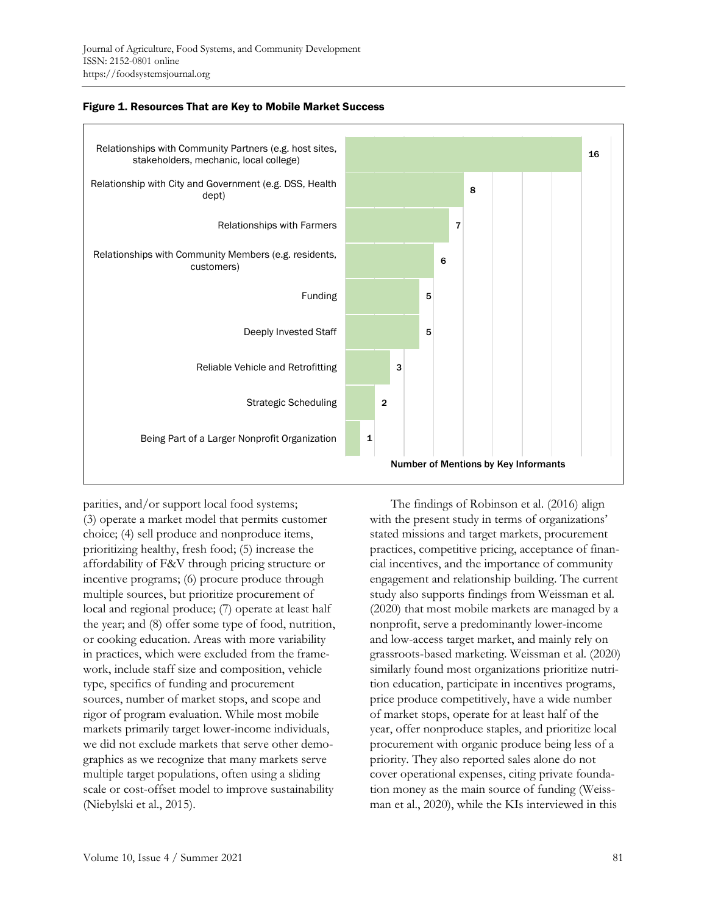



parities, and/or support local food systems; (3) operate a market model that permits customer choice; (4) sell produce and nonproduce items, prioritizing healthy, fresh food; (5) increase the affordability of F&V through pricing structure or incentive programs; (6) procure produce through multiple sources, but prioritize procurement of local and regional produce; (7) operate at least half the year; and (8) offer some type of food, nutrition, or cooking education. Areas with more variability in practices, which were excluded from the framework, include staff size and composition, vehicle type, specifics of funding and procurement sources, number of market stops, and scope and rigor of program evaluation. While most mobile markets primarily target lower-income individuals, we did not exclude markets that serve other demographics as we recognize that many markets serve multiple target populations, often using a sliding scale or cost-offset model to improve sustainability (Niebylski et al., 2015).

The findings of Robinson et al. (2016) align with the present study in terms of organizations' stated missions and target markets, procurement practices, competitive pricing, acceptance of financial incentives, and the importance of community engagement and relationship building. The current study also supports findings from Weissman et al. (2020) that most mobile markets are managed by a nonprofit, serve a predominantly lower-income and low-access target market, and mainly rely on grassroots-based marketing. Weissman et al. (2020) similarly found most organizations prioritize nutrition education, participate in incentives programs, price produce competitively, have a wide number of market stops, operate for at least half of the year, offer nonproduce staples, and prioritize local procurement with organic produce being less of a priority. They also reported sales alone do not cover operational expenses, citing private foundation money as the main source of funding (Weissman et al., 2020), while the KIs interviewed in this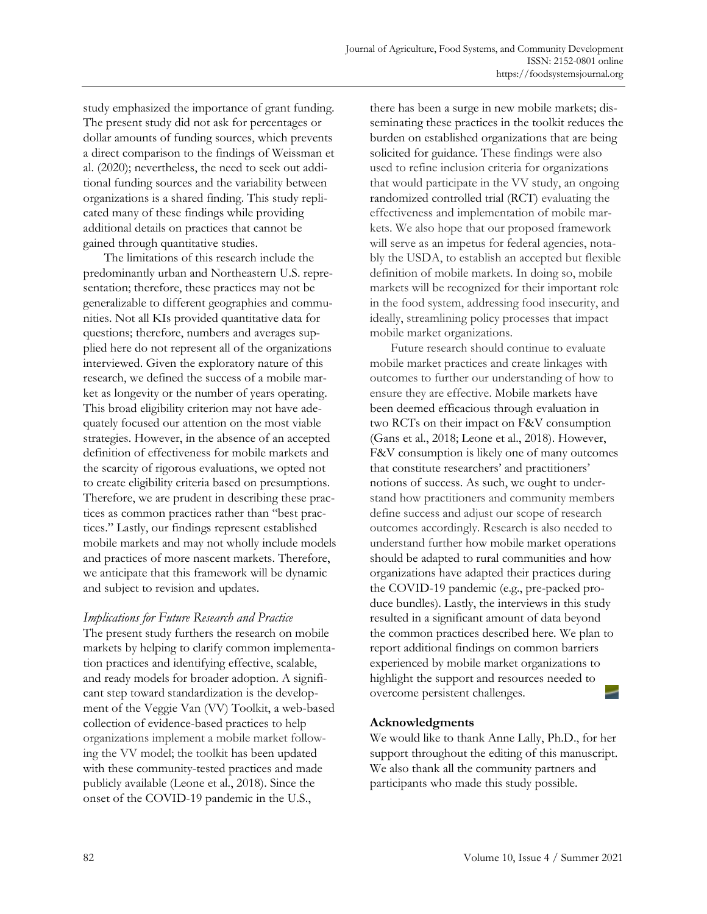study emphasized the importance of grant funding. The present study did not ask for percentages or dollar amounts of funding sources, which prevents a direct comparison to the findings of Weissman et al. (2020); nevertheless, the need to seek out additional funding sources and the variability between organizations is a shared finding. This study replicated many of these findings while providing additional details on practices that cannot be gained through quantitative studies.

The limitations of this research include the predominantly urban and Northeastern U.S. representation; therefore, these practices may not be generalizable to different geographies and communities. Not all KIs provided quantitative data for questions; therefore, numbers and averages supplied here do not represent all of the organizations interviewed. Given the exploratory nature of this research, we defined the success of a mobile market as longevity or the number of years operating. This broad eligibility criterion may not have adequately focused our attention on the most viable strategies. However, in the absence of an accepted definition of effectiveness for mobile markets and the scarcity of rigorous evaluations, we opted not to create eligibility criteria based on presumptions. Therefore, we are prudent in describing these practices as common practices rather than "best practices." Lastly, our findings represent established mobile markets and may not wholly include models and practices of more nascent markets. Therefore, we anticipate that this framework will be dynamic and subject to revision and updates.

### *Implications for Future Research and Practice*

The present study furthers the research on mobile markets by helping to clarify common implementation practices and identifying effective, scalable, and ready models for broader adoption. A significant step toward standardization is the development of the Veggie Van (VV) Toolkit, a web-based collection of evidence-based practices to help organizations implement a mobile market following the VV model; the toolkit has been updated with these community-tested practices and made publicly available (Leone et al., 2018). Since the onset of the COVID-19 pandemic in the U.S.,

there has been a surge in new mobile markets; disseminating these practices in the toolkit reduces the burden on established organizations that are being solicited for guidance. These findings were also used to refine inclusion criteria for organizations that would participate in the VV study, an ongoing randomized controlled trial (RCT) evaluating the effectiveness and implementation of mobile markets. We also hope that our proposed framework will serve as an impetus for federal agencies, notably the USDA, to establish an accepted but flexible definition of mobile markets. In doing so, mobile markets will be recognized for their important role in the food system, addressing food insecurity, and ideally, streamlining policy processes that impact mobile market organizations.

Future research should continue to evaluate mobile market practices and create linkages with outcomes to further our understanding of how to ensure they are effective. Mobile markets have been deemed efficacious through evaluation in two RCTs on their impact on F&V consumption (Gans et al., 2018; Leone et al., 2018). However, F&V consumption is likely one of many outcomes that constitute researchers' and practitioners' notions of success. As such, we ought to understand how practitioners and community members define success and adjust our scope of research outcomes accordingly. Research is also needed to understand further how mobile market operations should be adapted to rural communities and how organizations have adapted their practices during the COVID-19 pandemic (e.g., pre-packed produce bundles). Lastly, the interviews in this study resulted in a significant amount of data beyond the common practices described here. We plan to report additional findings on common barriers experienced by mobile market organizations to highlight the support and resources needed to overcome persistent challenges.

### **Acknowledgments**

We would like to thank Anne Lally, Ph.D., for her support throughout the editing of this manuscript. We also thank all the community partners and participants who made this study possible.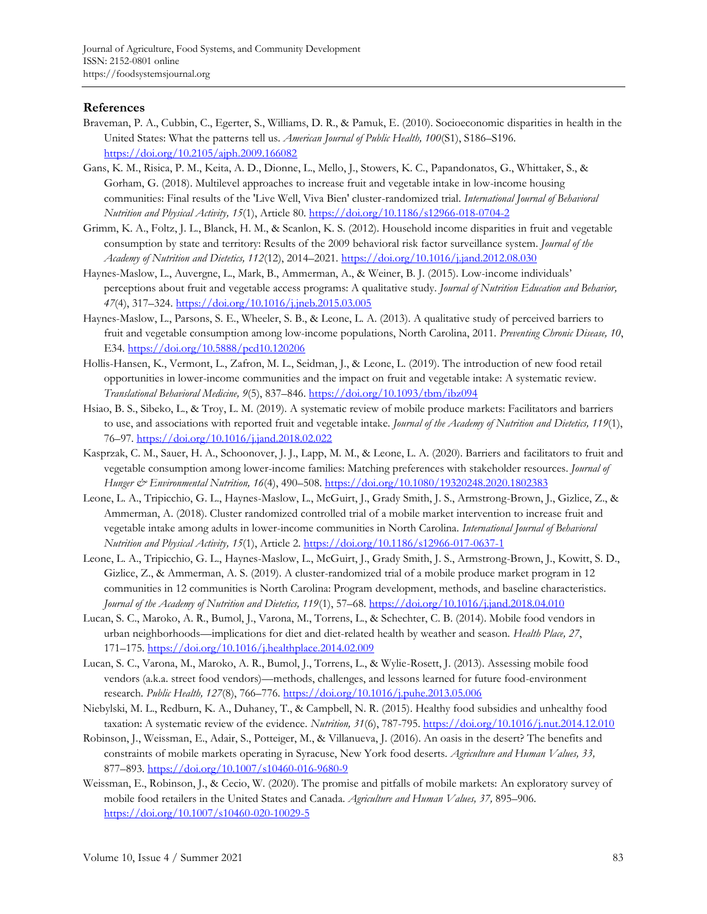### **References**

- Braveman, P. A., Cubbin, C., Egerter, S., Williams, D. R., & Pamuk, E. (2010). Socioeconomic disparities in health in the United States: What the patterns tell us. *American Journal of Public Health, 100*(S1), S186–S196. <https://doi.org/10.2105/ajph.2009.166082>
- Gans, K. M., Risica, P. M., Keita, A. D., Dionne, L., Mello, J., Stowers, K. C., Papandonatos, G., Whittaker, S., & Gorham, G. (2018). Multilevel approaches to increase fruit and vegetable intake in low-income housing communities: Final results of the 'Live Well, Viva Bien' cluster-randomized trial. *International Journal of Behavioral Nutrition and Physical Activity, 15*(1), Article 80.<https://doi.org/10.1186/s12966-018-0704-2>
- Grimm, K. A., Foltz, J. L., Blanck, H. M., & Scanlon, K. S. (2012). Household income disparities in fruit and vegetable consumption by state and territory: Results of the 2009 behavioral risk factor surveillance system. *Journal of the Academy of Nutrition and Dietetics, 112*(12), 2014–2021[. https://doi.org/10.1016/j.jand.2012.08.030](https://doi.org/10.1016/j.jand.2012.08.030)
- Haynes-Maslow, L., Auvergne, L., Mark, B., Ammerman, A., & Weiner, B. J. (2015). Low-income individuals' perceptions about fruit and vegetable access programs: A qualitative study. *Journal of Nutrition Education and Behavior, 47*(4), 317–324.<https://doi.org/10.1016/j.jneb.2015.03.005>
- Haynes-Maslow, L., Parsons, S. E., Wheeler, S. B., & Leone, L. A. (2013). A qualitative study of perceived barriers to fruit and vegetable consumption among low-income populations, North Carolina, 2011. *Preventing Chronic Disease, 10*, E34[. https://doi.org/10.5888/pcd10.120206](https://doi.org/10.5888/pcd10.120206)
- Hollis-Hansen, K., Vermont, L., Zafron, M. L., Seidman, J., & Leone, L. (2019). The introduction of new food retail opportunities in lower-income communities and the impact on fruit and vegetable intake: A systematic review. *Translational Behavioral Medicine, 9*(5), 837–846[. https://doi.org/10.1093/tbm/ibz094](https://doi.org/10.1093/tbm/ibz094)
- Hsiao, B. S., Sibeko, L., & Troy, L. M. (2019). A systematic review of mobile produce markets: Facilitators and barriers to use, and associations with reported fruit and vegetable intake. *Journal of the Academy of Nutrition and Dietetics, 119*(1), 76–97.<https://doi.org/10.1016/j.jand.2018.02.022>
- Kasprzak, C. M., Sauer, H. A., Schoonover, J. J., Lapp, M. M., & Leone, L. A. (2020). Barriers and facilitators to fruit and vegetable consumption among lower-income families: Matching preferences with stakeholder resources. *Journal of Hunger & Environmental Nutrition, 16*(4), 490–508.<https://doi.org/10.1080/19320248.2020.1802383>
- Leone, L. A., Tripicchio, G. L., Haynes-Maslow, L., McGuirt, J., Grady Smith, J. S., Armstrong-Brown, J., Gizlice, Z., & Ammerman, A. (2018). Cluster randomized controlled trial of a mobile market intervention to increase fruit and vegetable intake among adults in lower-income communities in North Carolina. *International Journal of Behavioral Nutrition and Physical Activity, 15*(1), Article 2.<https://doi.org/10.1186/s12966-017-0637-1>
- Leone, L. A., Tripicchio, G. L., Haynes-Maslow, L., McGuirt, J., Grady Smith, J. S., Armstrong-Brown, J., Kowitt, S. D., Gizlice, Z., & Ammerman, A. S. (2019). A cluster-randomized trial of a mobile produce market program in 12 communities in 12 communities is North Carolina: Program development, methods, and baseline characteristics. *Journal of the Academy of Nutrition and Dietetics, 119*(1), 57–68[. https://doi.org/10.1016/j.jand.2018.04.010](https://doi.org/10.1016/j.jand.2018.04.010)
- Lucan, S. C., Maroko, A. R., Bumol, J., Varona, M., Torrens, L., & Schechter, C. B. (2014). Mobile food vendors in urban neighborhoods—implications for diet and diet-related health by weather and season. *Health Place, 27*, 171–175.<https://doi.org/10.1016/j.healthplace.2014.02.009>
- Lucan, S. C., Varona, M., Maroko, A. R., Bumol, J., Torrens, L., & Wylie-Rosett, J. (2013). Assessing mobile food vendors (a.k.a. street food vendors)—methods, challenges, and lessons learned for future food-environment research. *Public Health, 127*(8), 766–776.<https://doi.org/10.1016/j.puhe.2013.05.006>
- Niebylski, M. L., Redburn, K. A., Duhaney, T., & Campbell, N. R. (2015). Healthy food subsidies and unhealthy food taxation: A systematic review of the evidence. *Nutrition, 31*(6), 787-795[. https://doi.org/10.1016/j.nut.2014.12.010](https://doi.org/10.1016/j.nut.2014.12.010)
- Robinson, J., Weissman, E., Adair, S., Potteiger, M., & Villanueva, J. (2016). An oasis in the desert? The benefits and constraints of mobile markets operating in Syracuse, New York food deserts. *Agriculture and Human Values, 33,*  877–893.<https://doi.org/10.1007/s10460-016-9680-9>
- Weissman, E., Robinson, J., & Cecio, W. (2020). The promise and pitfalls of mobile markets: An exploratory survey of mobile food retailers in the United States and Canada. *Agriculture and Human Values, 37,* 895–906. <https://doi.org/10.1007/s10460-020-10029-5>